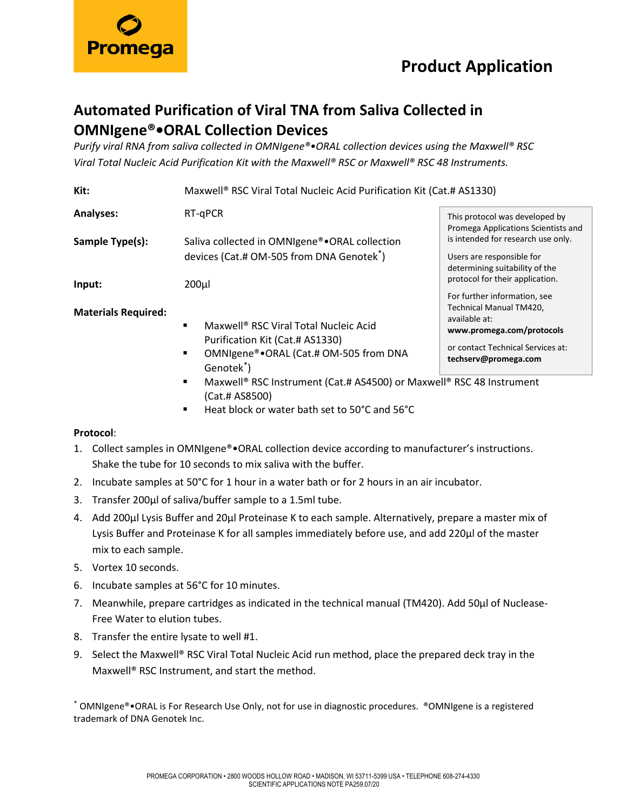

or contact Technical Services at: **techserv@promega.com**

## **Automated Purification of Viral TNA from Saliva Collected in OMNIgene®•ORAL Collection Devices**

*Purify viral RNA from saliva collected in OMNIgene®•ORAL collection devices using the Maxwell® RSC Viral Total Nucleic Acid Purification Kit with the Maxwell® RSC or Maxwell® RSC 48 Instruments.*

| Kit:                       | Maxwell <sup>®</sup> RSC Viral Total Nucleic Acid Purification Kit (Cat.# AS1330)                      |                                                                                                   |
|----------------------------|--------------------------------------------------------------------------------------------------------|---------------------------------------------------------------------------------------------------|
| <b>Analyses:</b>           | RT-gPCR                                                                                                | This protocol was developed by<br>Promega Applications Scientists and                             |
| Sample Type(s):            | Saliva collected in OMNIgene®.ORAL collection<br>devices (Cat.# OM-505 from DNA Genotek <sup>*</sup> ) | is intended for research use only.<br>Users are responsible for<br>determining suitability of the |
| Input:                     | 200µl                                                                                                  | protocol for their application.<br>For further information, see                                   |
| <b>Materials Required:</b> | Maxwell <sup>®</sup> RSC Viral Total Nucleic Acid<br>٠                                                 | Technical Manual TM420,<br>available at:<br>www.promega.com/protocols                             |

- Purification Kit (Cat.# AS1330)
- OMNIgene®•ORAL (Cat.# OM-505 from DNA Genotek\* )
- Maxwell<sup>®</sup> RSC Instrument (Cat.# AS4500) or Maxwell<sup>®</sup> RSC 48 Instrument (Cat.# AS8500)
- Heat block or water bath set to 50°C and 56°C

### **Protocol**:

- 1. Collect samples in OMNIgene®•ORAL collection device according to manufacturer's instructions. Shake the tube for 10 seconds to mix saliva with the buffer.
- 2. Incubate samples at 50°C for 1 hour in a water bath or for 2 hours in an air incubator.
- 3. Transfer 200µl of saliva/buffer sample to a 1.5ml tube.
- 4. Add 200µl Lysis Buffer and 20µl Proteinase K to each sample. Alternatively, prepare a master mix of Lysis Buffer and Proteinase K for all samples immediately before use, and add 220μl of the master mix to each sample.
- 5. Vortex 10 seconds.
- 6. Incubate samples at 56°C for 10 minutes.
- 7. Meanwhile, prepare cartridges as indicated in the technical manual (TM420). Add 50μl of Nuclease-Free Water to elution tubes.
- 8. Transfer the entire lysate to well #1.
- 9. Select the Maxwell® RSC Viral Total Nucleic Acid run method, place the prepared deck tray in the Maxwell® RSC Instrument, and start the method.

\* OMNIgene®•ORAL is For Research Use Only, not for use in diagnostic procedures. ®OMNIgene is a registered trademark of DNA Genotek Inc.